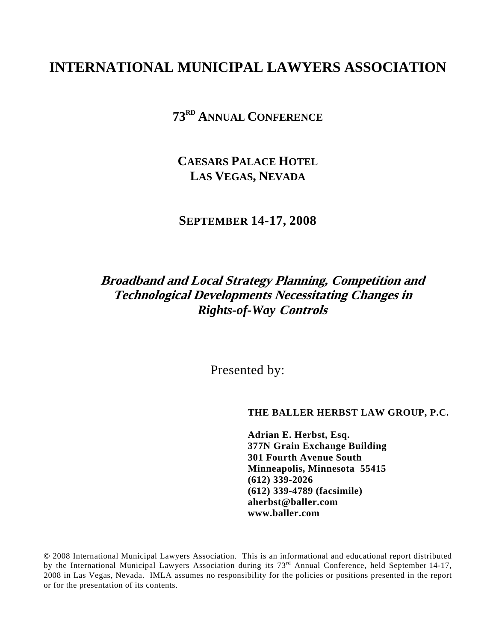# **INTERNATIONAL MUNICIPAL LAWYERS ASSOCIATION**

**73RD ANNUAL CONFERENCE**

**CAESARS PALACE HOTEL LAS VEGAS, NEVADA**

**SEPTEMBER 14-17, 2008** 

## **Broadband and Local Strategy Planning, Competition and Technological Developments Necessitating Changes in**  *Rights-of-Way* **Controls**

Presented by:

**THE BALLER HERBST LAW GROUP, P.C.** 

 **Adrian E. Herbst, Esq. 377N Grain Exchange Building 301 Fourth Avenue South Minneapolis, Minnesota 55415 (612) 339-2026 (612) 339-4789 (facsimile) aherbst@baller.com www.baller.com** 

© 2008 International Municipal Lawyers Association. This is an informational and educational report distributed by the International Municipal Lawyers Association during its 73<sup>rd</sup> Annual Conference, held September 14-17, 2008 in Las Vegas, Nevada. IMLA assumes no responsibility for the policies or positions presented in the report or for the presentation of its contents.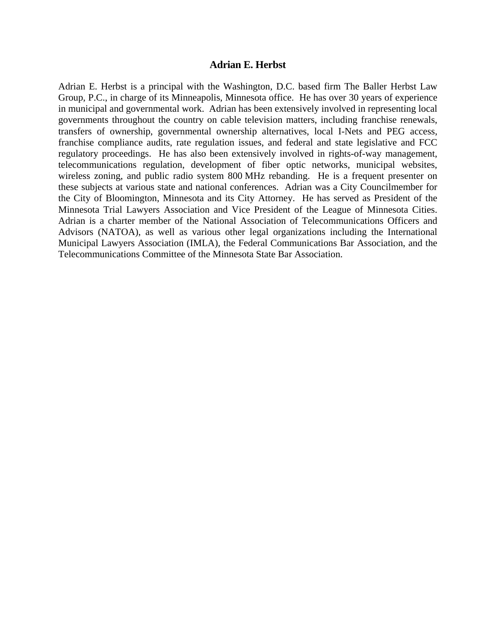#### **Adrian E. Herbst**

Adrian E. Herbst is a principal with the Washington, D.C. based firm The Baller Herbst Law Group, P.C., in charge of its Minneapolis, Minnesota office. He has over 30 years of experience in municipal and governmental work. Adrian has been extensively involved in representing local governments throughout the country on cable television matters, including franchise renewals, transfers of ownership, governmental ownership alternatives, local I-Nets and PEG access, franchise compliance audits, rate regulation issues, and federal and state legislative and FCC regulatory proceedings. He has also been extensively involved in rights-of-way management, telecommunications regulation, development of fiber optic networks, municipal websites, wireless zoning, and public radio system 800 MHz rebanding. He is a frequent presenter on these subjects at various state and national conferences. Adrian was a City Councilmember for the City of Bloomington, Minnesota and its City Attorney. He has served as President of the Minnesota Trial Lawyers Association and Vice President of the League of Minnesota Cities. Adrian is a charter member of the National Association of Telecommunications Officers and Advisors (NATOA), as well as various other legal organizations including the International Municipal Lawyers Association (IMLA), the Federal Communications Bar Association, and the Telecommunications Committee of the Minnesota State Bar Association.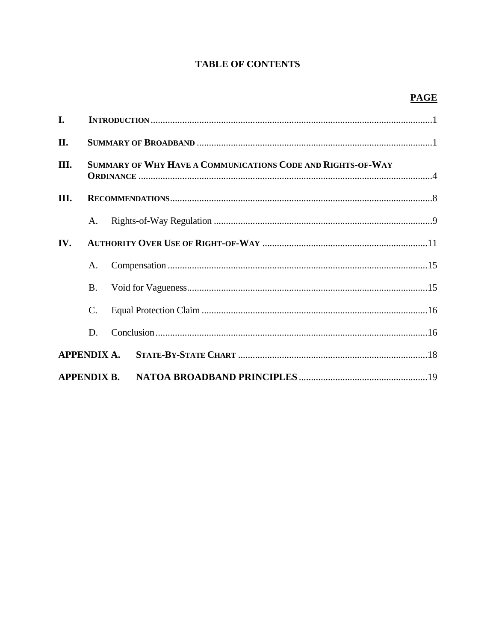## **TABLE OF CONTENTS**

## **PAGE**

| I.   |                                                             |  |  |  |
|------|-------------------------------------------------------------|--|--|--|
| II.  |                                                             |  |  |  |
| III. | SUMMARY OF WHY HAVE A COMMUNICATIONS CODE AND RIGHTS-OF-WAY |  |  |  |
| Ш.   |                                                             |  |  |  |
|      | A.                                                          |  |  |  |
| IV.  |                                                             |  |  |  |
|      | A.                                                          |  |  |  |
|      | <b>B.</b>                                                   |  |  |  |
|      | $\mathcal{C}$ .                                             |  |  |  |
|      | D.                                                          |  |  |  |
|      |                                                             |  |  |  |
|      |                                                             |  |  |  |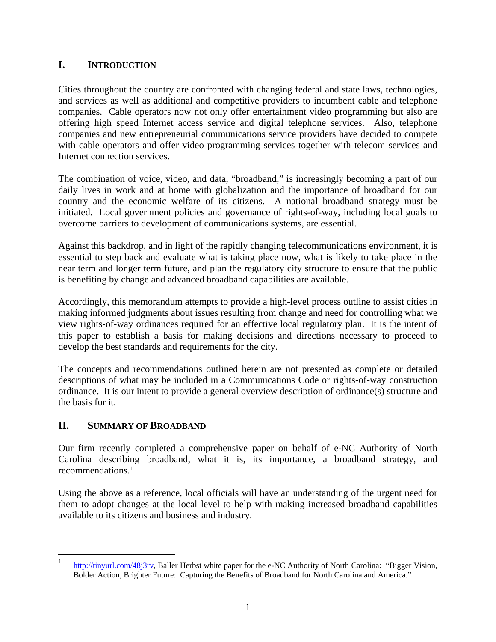## **I. INTRODUCTION**

Cities throughout the country are confronted with changing federal and state laws, technologies, and services as well as additional and competitive providers to incumbent cable and telephone companies. Cable operators now not only offer entertainment video programming but also are offering high speed Internet access service and digital telephone services. Also, telephone companies and new entrepreneurial communications service providers have decided to compete with cable operators and offer video programming services together with telecom services and Internet connection services.

The combination of voice, video, and data, "broadband," is increasingly becoming a part of our daily lives in work and at home with globalization and the importance of broadband for our country and the economic welfare of its citizens. A national broadband strategy must be initiated. Local government policies and governance of rights-of-way, including local goals to overcome barriers to development of communications systems, are essential.

Against this backdrop, and in light of the rapidly changing telecommunications environment, it is essential to step back and evaluate what is taking place now, what is likely to take place in the near term and longer term future, and plan the regulatory city structure to ensure that the public is benefiting by change and advanced broadband capabilities are available.

Accordingly, this memorandum attempts to provide a high-level process outline to assist cities in making informed judgments about issues resulting from change and need for controlling what we view rights-of-way ordinances required for an effective local regulatory plan. It is the intent of this paper to establish a basis for making decisions and directions necessary to proceed to develop the best standards and requirements for the city.

The concepts and recommendations outlined herein are not presented as complete or detailed descriptions of what may be included in a Communications Code or rights-of-way construction ordinance. It is our intent to provide a general overview description of ordinance(s) structure and the basis for it.

#### **II. SUMMARY OF BROADBAND**

 $\overline{a}$ 

Our firm recently completed a comprehensive paper on behalf of e-NC Authority of North Carolina describing broadband, what it is, its importance, a broadband strategy, and recommendations. $<sup>1</sup>$ </sup>

Using the above as a reference, local officials will have an understanding of the urgent need for them to adopt changes at the local level to help with making increased broadband capabilities available to its citizens and business and industry.

<sup>1</sup> http://tinyurl.com/48j3rv, Baller Herbst white paper for the e-NC Authority of North Carolina: "Bigger Vision, Bolder Action, Brighter Future: Capturing the Benefits of Broadband for North Carolina and America."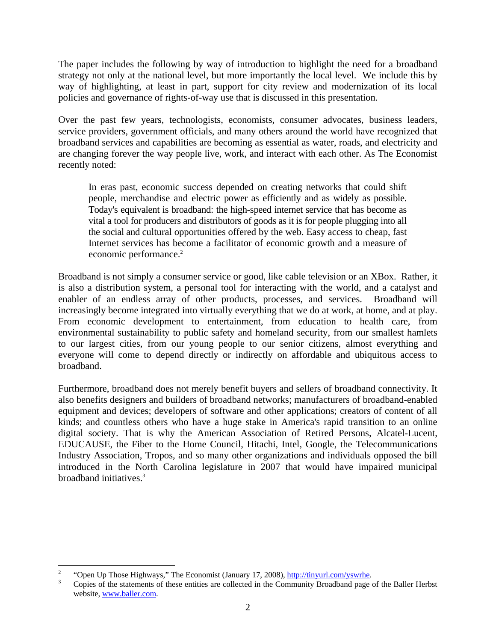The paper includes the following by way of introduction to highlight the need for a broadband strategy not only at the national level, but more importantly the local level. We include this by way of highlighting, at least in part, support for city review and modernization of its local policies and governance of rights-of-way use that is discussed in this presentation.

Over the past few years, technologists, economists, consumer advocates, business leaders, service providers, government officials, and many others around the world have recognized that broadband services and capabilities are becoming as essential as water, roads, and electricity and are changing forever the way people live, work, and interact with each other. As The Economist recently noted:

 In eras past, economic success depended on creating networks that could shift people, merchandise and electric power as efficiently and as widely as possible. Today's equivalent is broadband: the high-speed internet service that has become as vital a tool for producers and distributors of goods as it is for people plugging into all the social and cultural opportunities offered by the web. Easy access to cheap, fast Internet services has become a facilitator of economic growth and a measure of economic performance.<sup>2</sup>

Broadband is not simply a consumer service or good, like cable television or an XBox. Rather, it is also a distribution system, a personal tool for interacting with the world, and a catalyst and enabler of an endless array of other products, processes, and services. Broadband will increasingly become integrated into virtually everything that we do at work, at home, and at play. From economic development to entertainment, from education to health care, from environmental sustainability to public safety and homeland security, from our smallest hamlets to our largest cities, from our young people to our senior citizens, almost everything and everyone will come to depend directly or indirectly on affordable and ubiquitous access to broadband.

Furthermore, broadband does not merely benefit buyers and sellers of broadband connectivity. It also benefits designers and builders of broadband networks; manufacturers of broadband-enabled equipment and devices; developers of software and other applications; creators of content of all kinds; and countless others who have a huge stake in America's rapid transition to an online digital society. That is why the American Association of Retired Persons, Alcatel-Lucent, EDUCAUSE, the Fiber to the Home Council, Hitachi, Intel, Google, the Telecommunications Industry Association, Tropos, and so many other organizations and individuals opposed the bill introduced in the North Carolina legislature in 2007 that would have impaired municipal broadband initiatives.3

 $\frac{1}{2}$ "Open Up Those Highways," The Economist (January 17, 2008), http://tinyurl.com/yswrhe.

Copies of the statements of these entities are collected in the Community Broadband page of the Baller Herbst website, www.baller.com.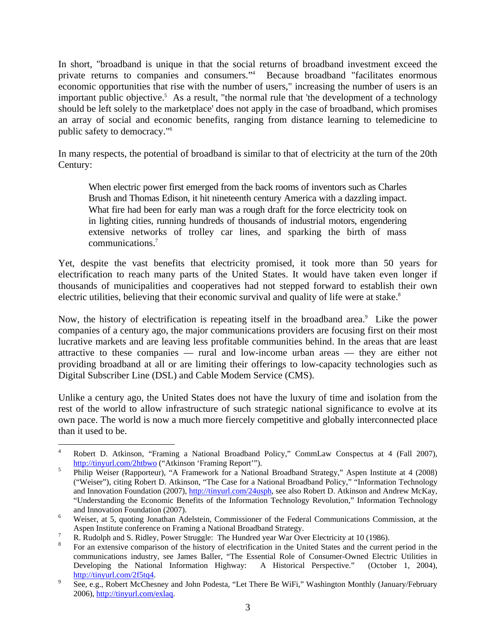In short, "broadband is unique in that the social returns of broadband investment exceed the private returns to companies and consumers."4 Because broadband "facilitates enormous economic opportunities that rise with the number of users," increasing the number of users is an important public objective.<sup>5</sup> As a result, "the normal rule that 'the development of a technology should be left solely to the marketplace' does not apply in the case of broadband, which promises an array of social and economic benefits, ranging from distance learning to telemedicine to public safety to democracy."6

In many respects, the potential of broadband is similar to that of electricity at the turn of the 20th Century:

When electric power first emerged from the back rooms of inventors such as Charles Brush and Thomas Edison, it hit nineteenth century America with a dazzling impact. What fire had been for early man was a rough draft for the force electricity took on in lighting cities, running hundreds of thousands of industrial motors, engendering extensive networks of trolley car lines, and sparking the birth of mass communications.7

Yet, despite the vast benefits that electricity promised, it took more than 50 years for electrification to reach many parts of the United States. It would have taken even longer if thousands of municipalities and cooperatives had not stepped forward to establish their own electric utilities, believing that their economic survival and quality of life were at stake.<sup>8</sup>

Now, the history of electrification is repeating itself in the broadband area.<sup>9</sup> Like the power companies of a century ago, the major communications providers are focusing first on their most lucrative markets and are leaving less profitable communities behind. In the areas that are least attractive to these companies — rural and low-income urban areas — they are either not providing broadband at all or are limiting their offerings to low-capacity technologies such as Digital Subscriber Line (DSL) and Cable Modem Service (CMS).

Unlike a century ago, the United States does not have the luxury of time and isolation from the rest of the world to allow infrastructure of such strategic national significance to evolve at its own pace. The world is now a much more fiercely competitive and globally interconnected place than it used to be.

<sup>1</sup> 4 Robert D. Atkinson, "Framing a National Broadband Policy," CommLaw Conspectus at 4 (Fall 2007),  $\frac{\text{http://tinyul.com/2htbwo}}{\text{Dhitu Wieso (Despectwo) "A Exversously for a Netsio}}$ 

Philip Weiser (Rapporteur), "A Framework for a National Broadband Strategy," Aspen Institute at 4 (2008) ("Weiser"), citing Robert D. Atkinson, "The Case for a National Broadband Policy," "Information Technology and Innovation Foundation (2007), http://tinyurl.com/24usph, see also Robert D. Atkinson and Andrew McKay, "Understanding the Economic Benefits of the Information Technology Revolution," Information Technology and Innovation Foundation (2007).

Weiser, at 5, quoting Jonathan Adelstein, Commissioner of the Federal Communications Commission, at the Aspen Institute conference on Framing a National Broadband Strategy. 7

R. Rudolph and S. Ridley, Power Struggle: The Hundred year War Over Electricity at 10 (1986).

For an extensive comparison of the history of electrification in the United States and the current period in the communications industry, see James Baller, "The Essential Role of Consumer-Owned Electric Utilities in Developing the National Information Highway: A Historical Perspective." (October 1, 2004),  $\frac{\text{http://tinyul.com/2f5tq4}}{\text{Soe } \text{2g } \text{Bebert } \text{McChag}}$ 

See, e.g., Robert McChesney and John Podesta, "Let There Be WiFi," Washington Monthly (January/February 2006), http://tinyurl.com/exlaq.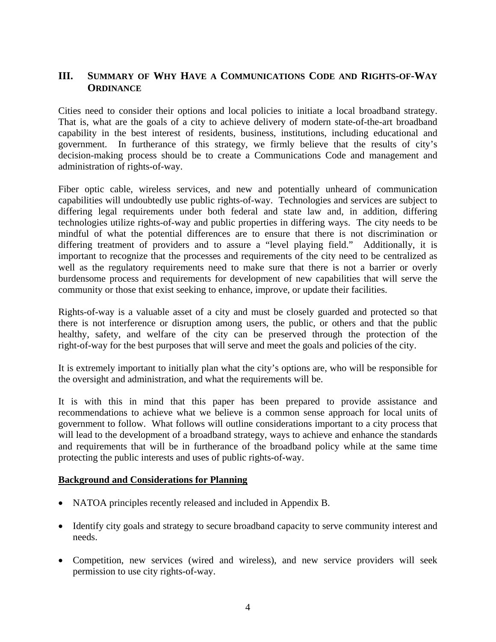#### **III. SUMMARY OF WHY HAVE A COMMUNICATIONS CODE AND RIGHTS-OF-WAY ORDINANCE**

Cities need to consider their options and local policies to initiate a local broadband strategy. That is, what are the goals of a city to achieve delivery of modern state-of-the-art broadband capability in the best interest of residents, business, institutions, including educational and government. In furtherance of this strategy, we firmly believe that the results of city's decision-making process should be to create a Communications Code and management and administration of rights-of-way.

Fiber optic cable, wireless services, and new and potentially unheard of communication capabilities will undoubtedly use public rights-of-way. Technologies and services are subject to differing legal requirements under both federal and state law and, in addition, differing technologies utilize rights-of-way and public properties in differing ways. The city needs to be mindful of what the potential differences are to ensure that there is not discrimination or differing treatment of providers and to assure a "level playing field." Additionally, it is important to recognize that the processes and requirements of the city need to be centralized as well as the regulatory requirements need to make sure that there is not a barrier or overly burdensome process and requirements for development of new capabilities that will serve the community or those that exist seeking to enhance, improve, or update their facilities.

Rights-of-way is a valuable asset of a city and must be closely guarded and protected so that there is not interference or disruption among users, the public, or others and that the public healthy, safety, and welfare of the city can be preserved through the protection of the right-of-way for the best purposes that will serve and meet the goals and policies of the city.

It is extremely important to initially plan what the city's options are, who will be responsible for the oversight and administration, and what the requirements will be.

It is with this in mind that this paper has been prepared to provide assistance and recommendations to achieve what we believe is a common sense approach for local units of government to follow. What follows will outline considerations important to a city process that will lead to the development of a broadband strategy, ways to achieve and enhance the standards and requirements that will be in furtherance of the broadband policy while at the same time protecting the public interests and uses of public rights-of-way.

#### **Background and Considerations for Planning**

- NATOA principles recently released and included in Appendix B.
- Identify city goals and strategy to secure broadband capacity to serve community interest and needs.
- Competition, new services (wired and wireless), and new service providers will seek permission to use city rights-of-way.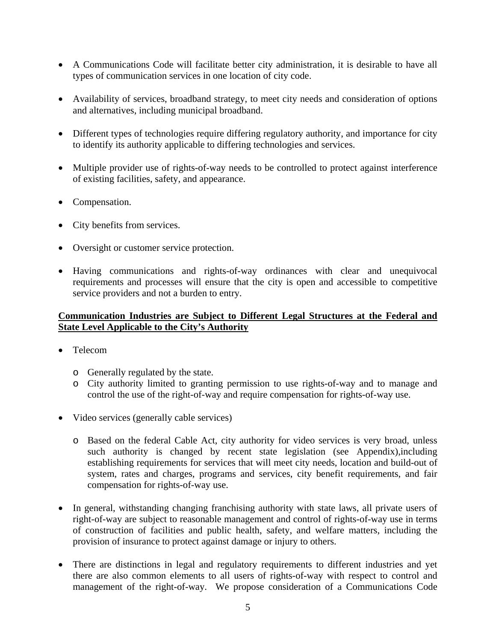- A Communications Code will facilitate better city administration, it is desirable to have all types of communication services in one location of city code.
- Availability of services, broadband strategy, to meet city needs and consideration of options and alternatives, including municipal broadband.
- Different types of technologies require differing regulatory authority, and importance for city to identify its authority applicable to differing technologies and services.
- Multiple provider use of rights-of-way needs to be controlled to protect against interference of existing facilities, safety, and appearance.
- Compensation.
- City benefits from services.
- Oversight or customer service protection.
- Having communications and rights-of-way ordinances with clear and unequivocal requirements and processes will ensure that the city is open and accessible to competitive service providers and not a burden to entry.

#### **Communication Industries are Subject to Different Legal Structures at the Federal and State Level Applicable to the City's Authority**

- Telecom
	- o Generally regulated by the state.
	- o City authority limited to granting permission to use rights-of-way and to manage and control the use of the right-of-way and require compensation for rights-of-way use.
- Video services (generally cable services)
	- o Based on the federal Cable Act, city authority for video services is very broad, unless such authority is changed by recent state legislation (see Appendix),including establishing requirements for services that will meet city needs, location and build-out of system, rates and charges, programs and services, city benefit requirements, and fair compensation for rights-of-way use.
- In general, withstanding changing franchising authority with state laws, all private users of right-of-way are subject to reasonable management and control of rights-of-way use in terms of construction of facilities and public health, safety, and welfare matters, including the provision of insurance to protect against damage or injury to others.
- There are distinctions in legal and regulatory requirements to different industries and yet there are also common elements to all users of rights-of-way with respect to control and management of the right-of-way. We propose consideration of a Communications Code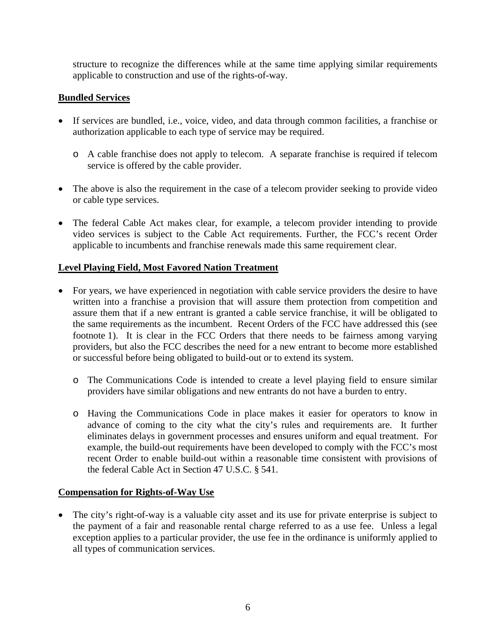structure to recognize the differences while at the same time applying similar requirements applicable to construction and use of the rights-of-way.

#### **Bundled Services**

- If services are bundled, i.e., voice, video, and data through common facilities, a franchise or authorization applicable to each type of service may be required.
	- o A cable franchise does not apply to telecom. A separate franchise is required if telecom service is offered by the cable provider.
- The above is also the requirement in the case of a telecom provider seeking to provide video or cable type services.
- The federal Cable Act makes clear, for example, a telecom provider intending to provide video services is subject to the Cable Act requirements. Further, the FCC's recent Order applicable to incumbents and franchise renewals made this same requirement clear.

#### **Level Playing Field, Most Favored Nation Treatment**

- For years, we have experienced in negotiation with cable service providers the desire to have written into a franchise a provision that will assure them protection from competition and assure them that if a new entrant is granted a cable service franchise, it will be obligated to the same requirements as the incumbent. Recent Orders of the FCC have addressed this (see footnote 1). It is clear in the FCC Orders that there needs to be fairness among varying providers, but also the FCC describes the need for a new entrant to become more established or successful before being obligated to build-out or to extend its system.
	- o The Communications Code is intended to create a level playing field to ensure similar providers have similar obligations and new entrants do not have a burden to entry.
	- o Having the Communications Code in place makes it easier for operators to know in advance of coming to the city what the city's rules and requirements are. It further eliminates delays in government processes and ensures uniform and equal treatment. For example, the build-out requirements have been developed to comply with the FCC's most recent Order to enable build-out within a reasonable time consistent with provisions of the federal Cable Act in Section 47 U.S.C. § 541.

#### **Compensation for Rights-of-Way Use**

• The city's right-of-way is a valuable city asset and its use for private enterprise is subject to the payment of a fair and reasonable rental charge referred to as a use fee. Unless a legal exception applies to a particular provider, the use fee in the ordinance is uniformly applied to all types of communication services.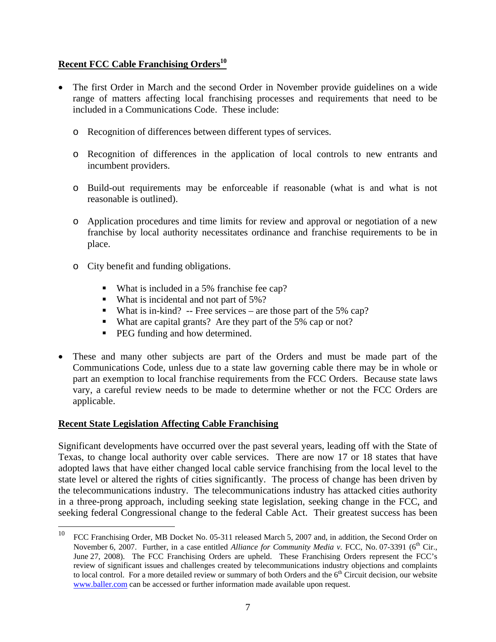#### **Recent FCC Cable Franchising Orders<sup>10</sup>**

- The first Order in March and the second Order in November provide guidelines on a wide range of matters affecting local franchising processes and requirements that need to be included in a Communications Code. These include:
	- o Recognition of differences between different types of services.
	- o Recognition of differences in the application of local controls to new entrants and incumbent providers.
	- o Build-out requirements may be enforceable if reasonable (what is and what is not reasonable is outlined).
	- o Application procedures and time limits for review and approval or negotiation of a new franchise by local authority necessitates ordinance and franchise requirements to be in place.
	- o City benefit and funding obligations.
		- What is included in a 5% franchise fee cap?
		- What is incidental and not part of 5%?
		- What is in-kind? -- Free services are those part of the 5% cap?
		- What are capital grants? Are they part of the 5% cap or not?
		- **PEG** funding and how determined.
- These and many other subjects are part of the Orders and must be made part of the Communications Code, unless due to a state law governing cable there may be in whole or part an exemption to local franchise requirements from the FCC Orders. Because state laws vary, a careful review needs to be made to determine whether or not the FCC Orders are applicable.

#### **Recent State Legislation Affecting Cable Franchising**

Significant developments have occurred over the past several years, leading off with the State of Texas, to change local authority over cable services. There are now 17 or 18 states that have adopted laws that have either changed local cable service franchising from the local level to the state level or altered the rights of cities significantly. The process of change has been driven by the telecommunications industry. The telecommunications industry has attacked cities authority in a three-prong approach, including seeking state legislation, seeking change in the FCC, and seeking federal Congressional change to the federal Cable Act. Their greatest success has been

<sup>10</sup> <sup>10</sup> FCC Franchising Order, MB Docket No. 05-311 released March 5, 2007 and, in addition, the Second Order on November 6, 2007. Further, in a case entitled *Alliance for Community Media v.* FCC, No. 07-3391 (6<sup>th</sup> Cir., June 27, 2008). The FCC Franchising Orders are upheld. These Franchising Orders represent the FCC's review of significant issues and challenges created by telecommunications industry objections and complaints to local control. For a more detailed review or summary of both Orders and the 6<sup>th</sup> Circuit decision, our website www.baller.com can be accessed or further information made available upon request.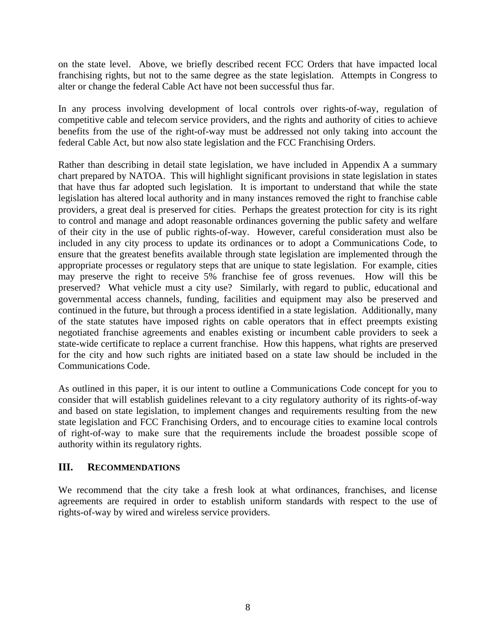on the state level. Above, we briefly described recent FCC Orders that have impacted local franchising rights, but not to the same degree as the state legislation. Attempts in Congress to alter or change the federal Cable Act have not been successful thus far.

In any process involving development of local controls over rights-of-way, regulation of competitive cable and telecom service providers, and the rights and authority of cities to achieve benefits from the use of the right-of-way must be addressed not only taking into account the federal Cable Act, but now also state legislation and the FCC Franchising Orders.

Rather than describing in detail state legislation, we have included in Appendix A a summary chart prepared by NATOA. This will highlight significant provisions in state legislation in states that have thus far adopted such legislation. It is important to understand that while the state legislation has altered local authority and in many instances removed the right to franchise cable providers, a great deal is preserved for cities. Perhaps the greatest protection for city is its right to control and manage and adopt reasonable ordinances governing the public safety and welfare of their city in the use of public rights-of-way. However, careful consideration must also be included in any city process to update its ordinances or to adopt a Communications Code, to ensure that the greatest benefits available through state legislation are implemented through the appropriate processes or regulatory steps that are unique to state legislation. For example, cities may preserve the right to receive 5% franchise fee of gross revenues. How will this be preserved? What vehicle must a city use? Similarly, with regard to public, educational and governmental access channels, funding, facilities and equipment may also be preserved and continued in the future, but through a process identified in a state legislation. Additionally, many of the state statutes have imposed rights on cable operators that in effect preempts existing negotiated franchise agreements and enables existing or incumbent cable providers to seek a state-wide certificate to replace a current franchise. How this happens, what rights are preserved for the city and how such rights are initiated based on a state law should be included in the Communications Code.

As outlined in this paper, it is our intent to outline a Communications Code concept for you to consider that will establish guidelines relevant to a city regulatory authority of its rights-of-way and based on state legislation, to implement changes and requirements resulting from the new state legislation and FCC Franchising Orders, and to encourage cities to examine local controls of right-of-way to make sure that the requirements include the broadest possible scope of authority within its regulatory rights.

#### **III. RECOMMENDATIONS**

We recommend that the city take a fresh look at what ordinances, franchises, and license agreements are required in order to establish uniform standards with respect to the use of rights-of-way by wired and wireless service providers.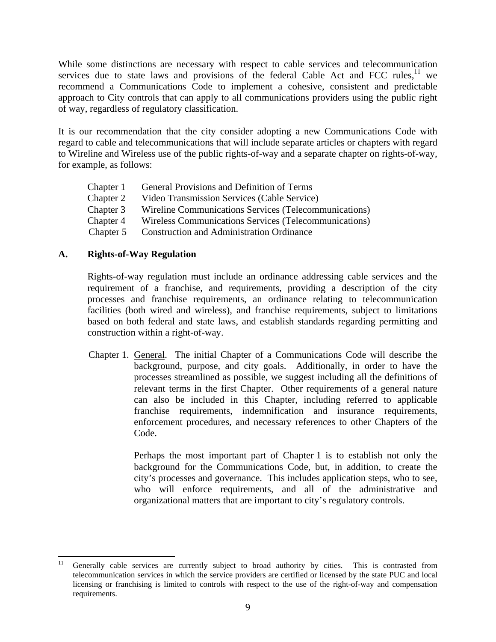While some distinctions are necessary with respect to cable services and telecommunication services due to state laws and provisions of the federal Cable Act and FCC rules,  $11$  we recommend a Communications Code to implement a cohesive, consistent and predictable approach to City controls that can apply to all communications providers using the public right of way, regardless of regulatory classification.

It is our recommendation that the city consider adopting a new Communications Code with regard to cable and telecommunications that will include separate articles or chapters with regard to Wireline and Wireless use of the public rights-of-way and a separate chapter on rights-of-way, for example, as follows:

| Chapter 1 | General Provisions and Definition of Terms            |
|-----------|-------------------------------------------------------|
| Chapter 2 | Video Transmission Services (Cable Service)           |
| Chapter 3 | Wireline Communications Services (Telecommunications) |
| Chapter 4 | Wireless Communications Services (Telecommunications) |
| Chapter 5 | <b>Construction and Administration Ordinance</b>      |
|           |                                                       |

#### **A. Rights-of-Way Regulation**

 Rights-of-way regulation must include an ordinance addressing cable services and the requirement of a franchise, and requirements, providing a description of the city processes and franchise requirements, an ordinance relating to telecommunication facilities (both wired and wireless), and franchise requirements, subject to limitations based on both federal and state laws, and establish standards regarding permitting and construction within a right-of-way.

 Chapter 1. General. The initial Chapter of a Communications Code will describe the background, purpose, and city goals. Additionally, in order to have the processes streamlined as possible, we suggest including all the definitions of relevant terms in the first Chapter. Other requirements of a general nature can also be included in this Chapter, including referred to applicable franchise requirements, indemnification and insurance requirements, enforcement procedures, and necessary references to other Chapters of the Code.

> Perhaps the most important part of Chapter 1 is to establish not only the background for the Communications Code, but, in addition, to create the city's processes and governance. This includes application steps, who to see, who will enforce requirements, and all of the administrative and organizational matters that are important to city's regulatory controls.

 $11$ Generally cable services are currently subject to broad authority by cities. This is contrasted from telecommunication services in which the service providers are certified or licensed by the state PUC and local licensing or franchising is limited to controls with respect to the use of the right-of-way and compensation requirements.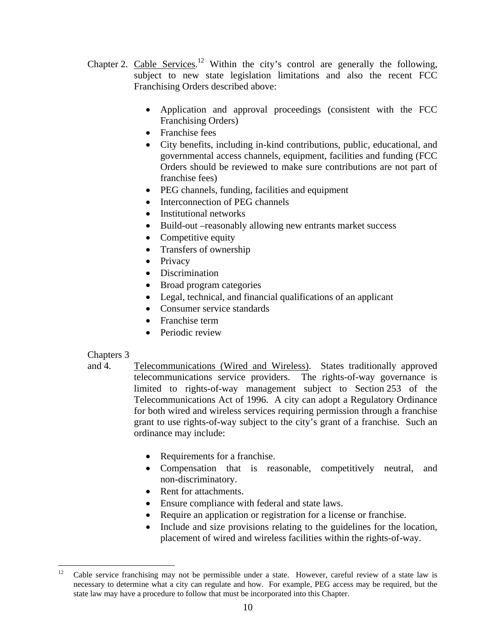- Chapter 2. Cable Services.<sup>12</sup> Within the city's control are generally the following, subject to new state legislation limitations and also the recent FCC Franchising Orders described above:
	- Application and approval proceedings (consistent with the FCC Franchising Orders)
	- Franchise fees
	- City benefits, including in-kind contributions, public, educational, and governmental access channels, equipment, facilities and funding (FCC Orders should be reviewed to make sure contributions are not part of franchise fees)
	- PEG channels, funding, facilities and equipment
	- Interconnection of PEG channels
	- Institutional networks
	- Build-out –reasonably allowing new entrants market success
	- Competitive equity
	- Transfers of ownership
	- Privacy
	- Discrimination
	- Broad program categories
	- Legal, technical, and financial qualifications of an applicant
	- Consumer service standards
	- Franchise term
	- Periodic review

#### Chapters 3

- and 4. Telecommunications (Wired and Wireless). States traditionally approved telecommunications service providers. The rights-of-way governance is limited to rights-of-way management subject to Section 253 of the Telecommunications Act of 1996. A city can adopt a Regulatory Ordinance for both wired and wireless services requiring permission through a franchise grant to use rights-of-way subject to the city's grant of a franchise. Such an ordinance may include:
	- Requirements for a franchise.
	- Compensation that is reasonable, competitively neutral, and non-discriminatory.
	- Rent for attachments.
	- Ensure compliance with federal and state laws.
	- Require an application or registration for a license or franchise.
	- Include and size provisions relating to the guidelines for the location, placement of wired and wireless facilities within the rights-of-way.

 $12$ Cable service franchising may not be permissible under a state. However, careful review of a state law is necessary to determine what a city can regulate and how. For example, PEG access may be required, but the state law may have a procedure to follow that must be incorporated into this Chapter.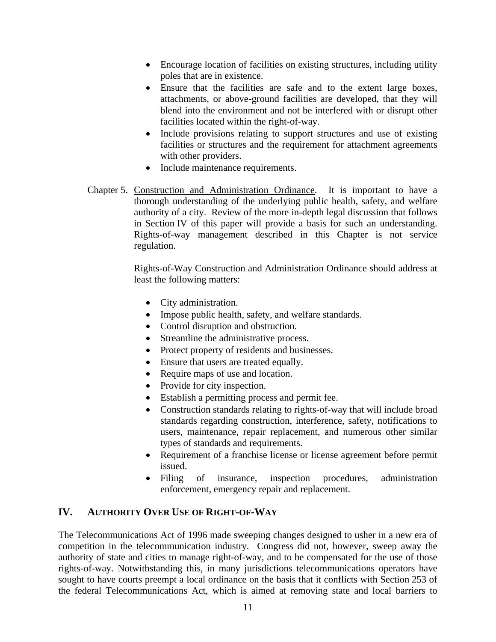- Encourage location of facilities on existing structures, including utility poles that are in existence.
- Ensure that the facilities are safe and to the extent large boxes, attachments, or above-ground facilities are developed, that they will blend into the environment and not be interfered with or disrupt other facilities located within the right-of-way.
- Include provisions relating to support structures and use of existing facilities or structures and the requirement for attachment agreements with other providers.
- Include maintenance requirements.
- Chapter 5. Construction and Administration Ordinance. It is important to have a thorough understanding of the underlying public health, safety, and welfare authority of a city. Review of the more in-depth legal discussion that follows in Section IV of this paper will provide a basis for such an understanding. Rights-of-way management described in this Chapter is not service regulation.

 Rights-of-Way Construction and Administration Ordinance should address at least the following matters:

- City administration.
- Impose public health, safety, and welfare standards.
- Control disruption and obstruction.
- Streamline the administrative process.
- Protect property of residents and businesses.
- Ensure that users are treated equally.
- Require maps of use and location.
- Provide for city inspection.
- Establish a permitting process and permit fee.
- Construction standards relating to rights-of-way that will include broad standards regarding construction, interference, safety, notifications to users, maintenance, repair replacement, and numerous other similar types of standards and requirements.
- Requirement of a franchise license or license agreement before permit issued.
- Filing of insurance, inspection procedures, administration enforcement, emergency repair and replacement.

#### **IV. AUTHORITY OVER USE OF RIGHT-OF-WAY**

The Telecommunications Act of 1996 made sweeping changes designed to usher in a new era of competition in the telecommunication industry. Congress did not, however, sweep away the authority of state and cities to manage right-of-way, and to be compensated for the use of those rights-of-way. Notwithstanding this, in many jurisdictions telecommunications operators have sought to have courts preempt a local ordinance on the basis that it conflicts with Section 253 of the federal Telecommunications Act, which is aimed at removing state and local barriers to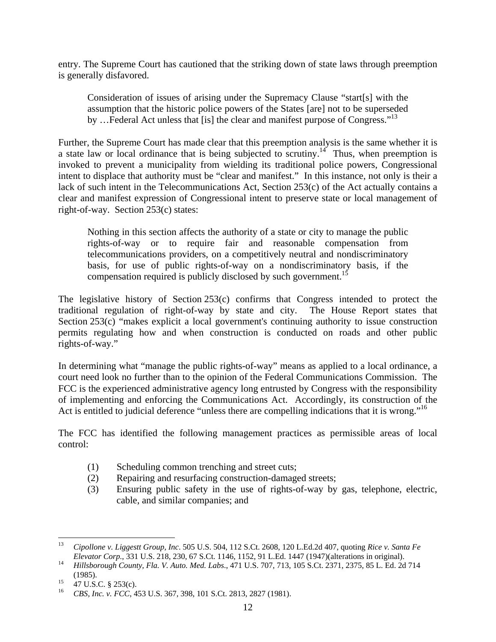entry. The Supreme Court has cautioned that the striking down of state laws through preemption is generally disfavored.

Consideration of issues of arising under the Supremacy Clause "start[s] with the assumption that the historic police powers of the States [are] not to be superseded by ... Federal Act unless that [is] the clear and manifest purpose of Congress."<sup>13</sup>

Further, the Supreme Court has made clear that this preemption analysis is the same whether it is a state law or local ordinance that is being subjected to scrutiny.<sup>14</sup> Thus, when preemption is invoked to prevent a municipality from wielding its traditional police powers, Congressional intent to displace that authority must be "clear and manifest." In this instance, not only is their a lack of such intent in the Telecommunications Act, Section 253(c) of the Act actually contains a clear and manifest expression of Congressional intent to preserve state or local management of right-of-way. Section 253(c) states:

Nothing in this section affects the authority of a state or city to manage the public rights-of-way or to require fair and reasonable compensation from telecommunications providers, on a competitively neutral and nondiscriminatory basis, for use of public rights-of-way on a nondiscriminatory basis, if the compensation required is publicly disclosed by such government.<sup>15</sup>

The legislative history of Section 253(c) confirms that Congress intended to protect the traditional regulation of right-of-way by state and city. The House Report states that Section 253(c) "makes explicit a local government's continuing authority to issue construction permits regulating how and when construction is conducted on roads and other public rights-of-way."

In determining what "manage the public rights-of-way" means as applied to a local ordinance, a court need look no further than to the opinion of the Federal Communications Commission. The FCC is the experienced administrative agency long entrusted by Congress with the responsibility of implementing and enforcing the Communications Act. Accordingly, its construction of the Act is entitled to judicial deference "unless there are compelling indications that it is wrong."<sup>16</sup>

The FCC has identified the following management practices as permissible areas of local control:

- (1) Scheduling common trenching and street cuts;
- (2) Repairing and resurfacing construction-damaged streets;
- (3) Ensuring public safety in the use of rights-of-way by gas, telephone, electric, cable, and similar companies; and

 $13$ 13 *Cipollone v. Liggestt Group, Inc*. 505 U.S. 504, 112 S.Ct. 2608, 120 L.Ed.2d 407, quoting *Rice v. Santa Fe* 

*Elevator Corp.*, 331 U.S. 218, 230, 67 S.Ct. 1146, 1152, 91 L.Ed. 1447 (1947)(alterations in original). 14 *Hillsborough County, Fla. V. Auto. Med. Labs*., 471 U.S. 707, 713, 105 S.Ct. 2371, 2375, 85 L. Ed. 2d 714

<sup>(1985).&</sup>lt;br><sup>15</sup> 47 U.S.C. § 253(c).<br><sup>16</sup> GPS J<sub>6</sub> EGG 4</sub>

<sup>16</sup> *CBS, Inc. v. FCC*, 453 U.S. 367, 398, 101 S.Ct. 2813, 2827 (1981).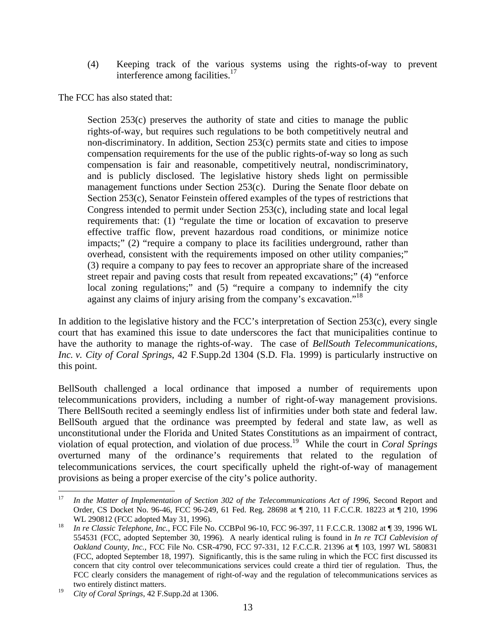(4) Keeping track of the various systems using the rights-of-way to prevent interference among facilities.<sup>17</sup>

The FCC has also stated that:

Section 253(c) preserves the authority of state and cities to manage the public rights-of-way, but requires such regulations to be both competitively neutral and non-discriminatory. In addition, Section 253(c) permits state and cities to impose compensation requirements for the use of the public rights-of-way so long as such compensation is fair and reasonable, competitively neutral, nondiscriminatory, and is publicly disclosed. The legislative history sheds light on permissible management functions under Section 253(c). During the Senate floor debate on Section 253(c), Senator Feinstein offered examples of the types of restrictions that Congress intended to permit under Section 253(c), including state and local legal requirements that: (1) "regulate the time or location of excavation to preserve effective traffic flow, prevent hazardous road conditions, or minimize notice impacts;" (2) "require a company to place its facilities underground, rather than overhead, consistent with the requirements imposed on other utility companies;" (3) require a company to pay fees to recover an appropriate share of the increased street repair and paving costs that result from repeated excavations;" (4) "enforce local zoning regulations;" and (5) "require a company to indemnify the city against any claims of injury arising from the company's excavation."18

In addition to the legislative history and the FCC's interpretation of Section 253(c), every single court that has examined this issue to date underscores the fact that municipalities continue to have the authority to manage the rights-of-way. The case of *BellSouth Telecommunications, Inc. v. City of Coral Springs*, 42 F.Supp.2d 1304 (S.D. Fla. 1999) is particularly instructive on this point.

BellSouth challenged a local ordinance that imposed a number of requirements upon telecommunications providers, including a number of right-of-way management provisions. There BellSouth recited a seemingly endless list of infirmities under both state and federal law. BellSouth argued that the ordinance was preempted by federal and state law, as well as unconstitutional under the Florida and United States Constitutions as an impairment of contract, violation of equal protection, and violation of due process.19 While the court in *Coral Springs* overturned many of the ordinance's requirements that related to the regulation of telecommunications services, the court specifically upheld the right-of-way of management provisions as being a proper exercise of the city's police authority.

 $17\,$ 17 *In the Matter of Implementation of Section 302 of the Telecommunications Act of 1996*, Second Report and Order, CS Docket No. 96-46, FCC 96-249, 61 Fed. Reg. 28698 at ¶ 210, 11 F.C.C.R. 18223 at ¶ 210, 1996 WL 290812 (FCC adopted May 31, 1996).<br>*In re Classic Telephone, Inc.*, FCC File No. CCBPol 96-10, FCC 96-397, 11 F.C.C.R. 13082 at ¶ 39, 1996 WL

<sup>554531 (</sup>FCC, adopted September 30, 1996). A nearly identical ruling is found in *In re TCI Cablevision of Oakland County, Inc.*, FCC File No. CSR-4790, FCC 97-331, 12 F.C.C.R. 21396 at ¶ 103, 1997 WL 580831 (FCC, adopted September 18, 1997). Significantly, this is the same ruling in which the FCC first discussed its concern that city control over telecommunications services could create a third tier of regulation. Thus, the FCC clearly considers the management of right-of-way and the regulation of telecommunications services as two entirely distinct matters.

<sup>19</sup> *City of Coral Springs*, 42 F.Supp.2d at 1306.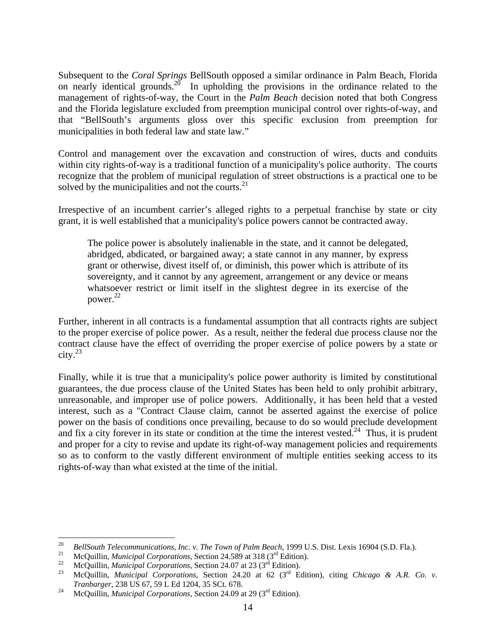Subsequent to the *Coral Springs* BellSouth opposed a similar ordinance in Palm Beach, Florida on nearly identical grounds.<sup>20</sup> In upholding the provisions in the ordinance related to the management of rights-of-way, the Court in the *Palm Beach* decision noted that both Congress and the Florida legislature excluded from preemption municipal control over rights-of-way, and that "BellSouth's arguments gloss over this specific exclusion from preemption for municipalities in both federal law and state law."

Control and management over the excavation and construction of wires, ducts and conduits within city rights-of-way is a traditional function of a municipality's police authority. The courts recognize that the problem of municipal regulation of street obstructions is a practical one to be solved by the municipalities and not the courts. $2<sup>1</sup>$ 

Irrespective of an incumbent carrier's alleged rights to a perpetual franchise by state or city grant, it is well established that a municipality's police powers cannot be contracted away.

The police power is absolutely inalienable in the state, and it cannot be delegated, abridged, abdicated, or bargained away; a state cannot in any manner, by express grant or otherwise, divest itself of, or diminish, this power which is attribute of its sovereignty, and it cannot by any agreement, arrangement or any device or means whatsoever restrict or limit itself in the slightest degree in its exercise of the power. 22

Further, inherent in all contracts is a fundamental assumption that all contracts rights are subject to the proper exercise of police power. As a result, neither the federal due process clause nor the contract clause have the effect of overriding the proper exercise of police powers by a state or  $\text{city.}^{23}$ 

Finally, while it is true that a municipality's police power authority is limited by constitutional guarantees, the due process clause of the United States has been held to only prohibit arbitrary, unreasonable, and improper use of police powers. Additionally, it has been held that a vested interest, such as a "Contract Clause claim, cannot be asserted against the exercise of police power on the basis of conditions once prevailing, because to do so would preclude development and fix a city forever in its state or condition at the time the interest vested.<sup>24</sup> Thus, it is prudent and proper for a city to revise and update its right-of-way management policies and requirements so as to conform to the vastly different environment of multiple entities seeking access to its rights-of-way than what existed at the time of the initial.

<sup>20</sup> <sup>20</sup> *BellSouth Telecommunications, Inc. v. The Town of Palm Beach, 1999 U.S. Dist. Lexis 16904 (S.D. Fla.).*<br><sup>21</sup> McQuillin, *Municipal Corporations*, Section 24.589 at 318 (3<sup>rd</sup> Edition).<br><sup>22</sup> McQuillin, *Municipal Cor* 

*Tranbarger*, 238 US 67, 59 L Ed 1204, 35 SCt. 678.<br><sup>24</sup> McQuillin, *Municipal Corporations*, Section 24.09 at 29 (3<sup>rd</sup> Edition).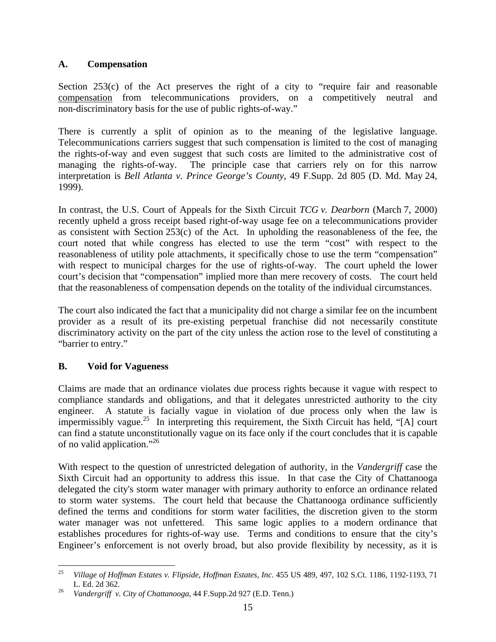#### **A. Compensation**

Section 253(c) of the Act preserves the right of a city to "require fair and reasonable compensation from telecommunications providers, on a competitively neutral and non-discriminatory basis for the use of public rights-of-way."

There is currently a split of opinion as to the meaning of the legislative language. Telecommunications carriers suggest that such compensation is limited to the cost of managing the rights-of-way and even suggest that such costs are limited to the administrative cost of managing the rights-of-way. The principle case that carriers rely on for this narrow interpretation is *Bell Atlanta v. Prince George's County*, 49 F.Supp. 2d 805 (D. Md. May 24, 1999).

In contrast, the U.S. Court of Appeals for the Sixth Circuit *TCG v. Dearborn* (March 7, 2000) recently upheld a gross receipt based right-of-way usage fee on a telecommunications provider as consistent with Section 253(c) of the Act. In upholding the reasonableness of the fee, the court noted that while congress has elected to use the term "cost" with respect to the reasonableness of utility pole attachments, it specifically chose to use the term "compensation" with respect to municipal charges for the use of rights-of-way. The court upheld the lower court's decision that "compensation" implied more than mere recovery of costs. The court held that the reasonableness of compensation depends on the totality of the individual circumstances.

The court also indicated the fact that a municipality did not charge a similar fee on the incumbent provider as a result of its pre-existing perpetual franchise did not necessarily constitute discriminatory activity on the part of the city unless the action rose to the level of constituting a "barrier to entry."

## **B. Void for Vagueness**

Claims are made that an ordinance violates due process rights because it vague with respect to compliance standards and obligations, and that it delegates unrestricted authority to the city engineer. A statute is facially vague in violation of due process only when the law is impermissibly vague.<sup>25</sup> In interpreting this requirement, the Sixth Circuit has held, "[A] court can find a statute unconstitutionally vague on its face only if the court concludes that it is capable of no valid application."26

With respect to the question of unrestricted delegation of authority, in the *Vandergriff* case the Sixth Circuit had an opportunity to address this issue. In that case the City of Chattanooga delegated the city's storm water manager with primary authority to enforce an ordinance related to storm water systems. The court held that because the Chattanooga ordinance sufficiently defined the terms and conditions for storm water facilities, the discretion given to the storm water manager was not unfettered. This same logic applies to a modern ordinance that establishes procedures for rights-of-way use. Terms and conditions to ensure that the city's Engineer's enforcement is not overly broad, but also provide flexibility by necessity, as it is

<sup>25</sup> 25 *Village of Hoffman Estates v. Flipside, Hoffman Estates, Inc*. 455 US 489, 497, 102 S.Ct. 1186, 1192-1193, 71 L. Ed. 2d 362. 26 *Vandergriff v. City of Chattanooga*, 44 F.Supp.2d 927 (E.D. Tenn.)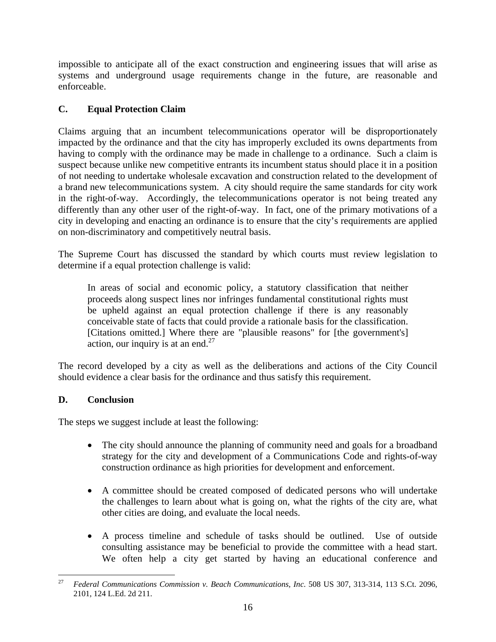impossible to anticipate all of the exact construction and engineering issues that will arise as systems and underground usage requirements change in the future, are reasonable and enforceable.

### **C. Equal Protection Claim**

Claims arguing that an incumbent telecommunications operator will be disproportionately impacted by the ordinance and that the city has improperly excluded its owns departments from having to comply with the ordinance may be made in challenge to a ordinance. Such a claim is suspect because unlike new competitive entrants its incumbent status should place it in a position of not needing to undertake wholesale excavation and construction related to the development of a brand new telecommunications system. A city should require the same standards for city work in the right-of-way. Accordingly, the telecommunications operator is not being treated any differently than any other user of the right-of-way. In fact, one of the primary motivations of a city in developing and enacting an ordinance is to ensure that the city's requirements are applied on non-discriminatory and competitively neutral basis.

The Supreme Court has discussed the standard by which courts must review legislation to determine if a equal protection challenge is valid:

In areas of social and economic policy, a statutory classification that neither proceeds along suspect lines nor infringes fundamental constitutional rights must be upheld against an equal protection challenge if there is any reasonably conceivable state of facts that could provide a rationale basis for the classification. [Citations omitted.] Where there are "plausible reasons" for [the government's] action, our inquiry is at an end.<sup>27</sup>

The record developed by a city as well as the deliberations and actions of the City Council should evidence a clear basis for the ordinance and thus satisfy this requirement.

#### **D. Conclusion**

The steps we suggest include at least the following:

- The city should announce the planning of community need and goals for a broadband strategy for the city and development of a Communications Code and rights-of-way construction ordinance as high priorities for development and enforcement.
- A committee should be created composed of dedicated persons who will undertake the challenges to learn about what is going on, what the rights of the city are, what other cities are doing, and evaluate the local needs.
- A process timeline and schedule of tasks should be outlined. Use of outside consulting assistance may be beneficial to provide the committee with a head start. We often help a city get started by having an educational conference and

<sup>27</sup> 27 *Federal Communications Commission v. Beach Communications, Inc*. 508 US 307, 313-314, 113 S.Ct. 2096, 2101, 124 L.Ed. 2d 211.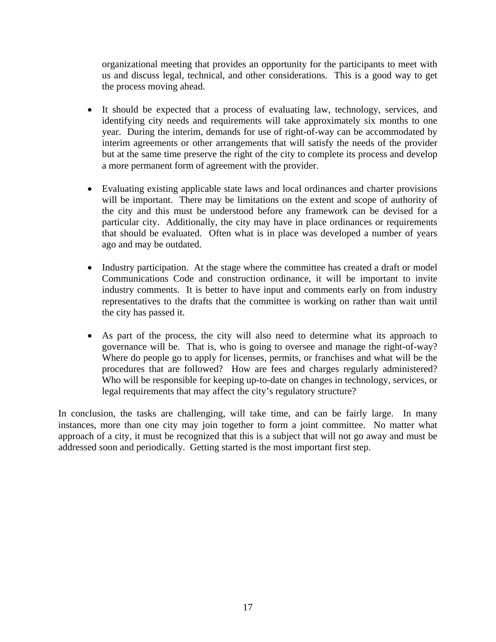organizational meeting that provides an opportunity for the participants to meet with us and discuss legal, technical, and other considerations. This is a good way to get the process moving ahead.

- It should be expected that a process of evaluating law, technology, services, and identifying city needs and requirements will take approximately six months to one year. During the interim, demands for use of right-of-way can be accommodated by interim agreements or other arrangements that will satisfy the needs of the provider but at the same time preserve the right of the city to complete its process and develop a more permanent form of agreement with the provider.
- Evaluating existing applicable state laws and local ordinances and charter provisions will be important. There may be limitations on the extent and scope of authority of the city and this must be understood before any framework can be devised for a particular city. Additionally, the city may have in place ordinances or requirements that should be evaluated. Often what is in place was developed a number of years ago and may be outdated.
- Industry participation. At the stage where the committee has created a draft or model Communications Code and construction ordinance, it will be important to invite industry comments. It is better to have input and comments early on from industry representatives to the drafts that the committee is working on rather than wait until the city has passed it.
- As part of the process, the city will also need to determine what its approach to governance will be. That is, who is going to oversee and manage the right-of-way? Where do people go to apply for licenses, permits, or franchises and what will be the procedures that are followed? How are fees and charges regularly administered? Who will be responsible for keeping up-to-date on changes in technology, services, or legal requirements that may affect the city's regulatory structure?

In conclusion, the tasks are challenging, will take time, and can be fairly large. In many instances, more than one city may join together to form a joint committee. No matter what approach of a city, it must be recognized that this is a subject that will not go away and must be addressed soon and periodically. Getting started is the most important first step.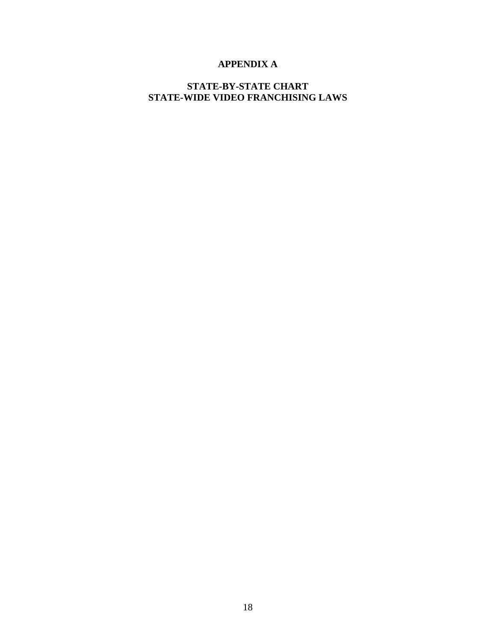## **APPENDIX A**

#### **STATE-BY-STATE CHART STATE-WIDE VIDEO FRANCHISING LAWS**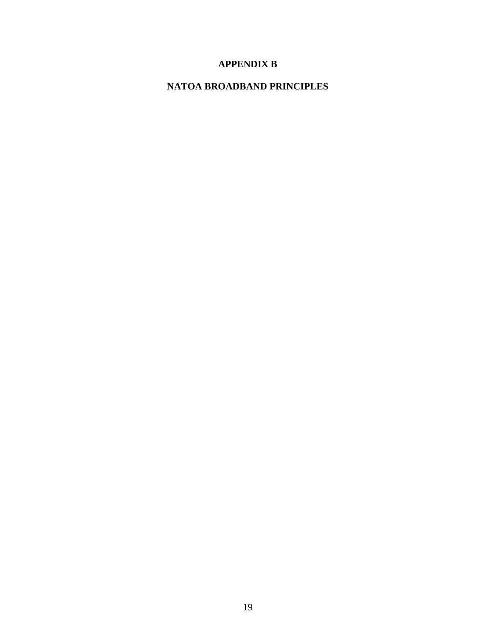## **APPENDIX B**

## **NATOA BROADBAND PRINCIPLES**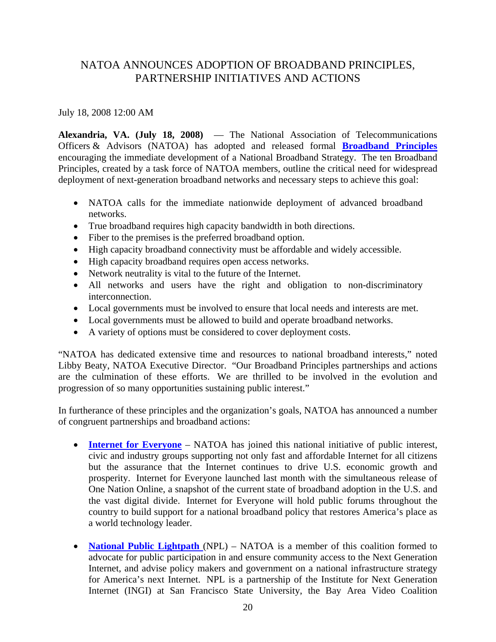## NATOA ANNOUNCES ADOPTION OF BROADBAND PRINCIPLES, PARTNERSHIP INITIATIVES AND ACTIONS

July 18, 2008 12:00 AM

**Alexandria, VA. (July 18, 2008)** — The National Association of Telecommunications Officers & Advisors (NATOA) has adopted and released formal **Broadband Principles** encouraging the immediate development of a National Broadband Strategy. The ten Broadband Principles, created by a task force of NATOA members, outline the critical need for widespread deployment of next-generation broadband networks and necessary steps to achieve this goal:

- NATOA calls for the immediate nationwide deployment of advanced broadband networks.
- True broadband requires high capacity bandwidth in both directions.
- Fiber to the premises is the preferred broadband option.
- High capacity broadband connectivity must be affordable and widely accessible.
- High capacity broadband requires open access networks.
- Network neutrality is vital to the future of the Internet.
- All networks and users have the right and obligation to non-discriminatory interconnection.
- Local governments must be involved to ensure that local needs and interests are met.
- Local governments must be allowed to build and operate broadband networks.
- A variety of options must be considered to cover deployment costs.

"NATOA has dedicated extensive time and resources to national broadband interests," noted Libby Beaty, NATOA Executive Director. "Our Broadband Principles partnerships and actions are the culmination of these efforts. We are thrilled to be involved in the evolution and progression of so many opportunities sustaining public interest."

In furtherance of these principles and the organization's goals, NATOA has announced a number of congruent partnerships and broadband actions:

- **Internet for Everyone** NATOA has joined this national initiative of public interest, civic and industry groups supporting not only fast and affordable Internet for all citizens but the assurance that the Internet continues to drive U.S. economic growth and prosperity. Internet for Everyone launched last month with the simultaneous release of One Nation Online, a snapshot of the current state of broadband adoption in the U.S. and the vast digital divide. Internet for Everyone will hold public forums throughout the country to build support for a national broadband policy that restores America's place as a world technology leader.
- **National Public Lightpath** (NPL) NATOA is a member of this coalition formed to advocate for public participation in and ensure community access to the Next Generation Internet, and advise policy makers and government on a national infrastructure strategy for America's next Internet. NPL is a partnership of the Institute for Next Generation Internet (INGI) at San Francisco State University, the Bay Area Video Coalition